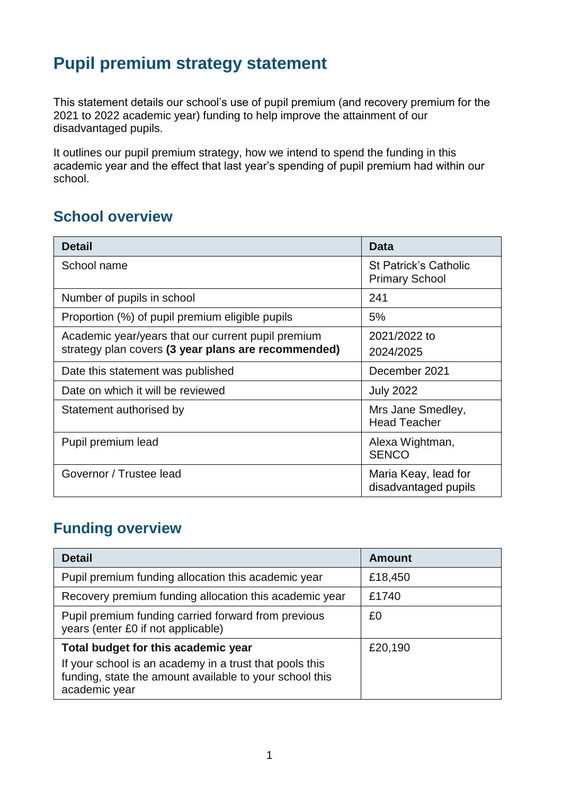## **Pupil premium strategy statement**

This statement details our school's use of pupil premium (and recovery premium for the 2021 to 2022 academic year) funding to help improve the attainment of our disadvantaged pupils.

It outlines our pupil premium strategy, how we intend to spend the funding in this academic year and the effect that last year's spending of pupil premium had within our school.

#### **School overview**

| <b>Detail</b>                                       | <b>Data</b>                                           |
|-----------------------------------------------------|-------------------------------------------------------|
| School name                                         | <b>St Patrick's Catholic</b><br><b>Primary School</b> |
| Number of pupils in school                          | 241                                                   |
| Proportion (%) of pupil premium eligible pupils     | 5%                                                    |
| Academic year/years that our current pupil premium  | 2021/2022 to                                          |
| strategy plan covers (3 year plans are recommended) | 2024/2025                                             |
| Date this statement was published                   | December 2021                                         |
| Date on which it will be reviewed                   | <b>July 2022</b>                                      |
| Statement authorised by                             | Mrs Jane Smedley,<br><b>Head Teacher</b>              |
| Pupil premium lead                                  | Alexa Wightman,<br><b>SENCO</b>                       |
| Governor / Trustee lead                             | Maria Keay, lead for<br>disadvantaged pupils          |

#### **Funding overview**

| <b>Detail</b>                                                                                                                       | <b>Amount</b> |
|-------------------------------------------------------------------------------------------------------------------------------------|---------------|
| Pupil premium funding allocation this academic year                                                                                 | £18,450       |
| Recovery premium funding allocation this academic year                                                                              | £1740         |
| Pupil premium funding carried forward from previous<br>years (enter £0 if not applicable)                                           | £0            |
| Total budget for this academic year                                                                                                 | £20,190       |
| If your school is an academy in a trust that pools this<br>funding, state the amount available to your school this<br>academic year |               |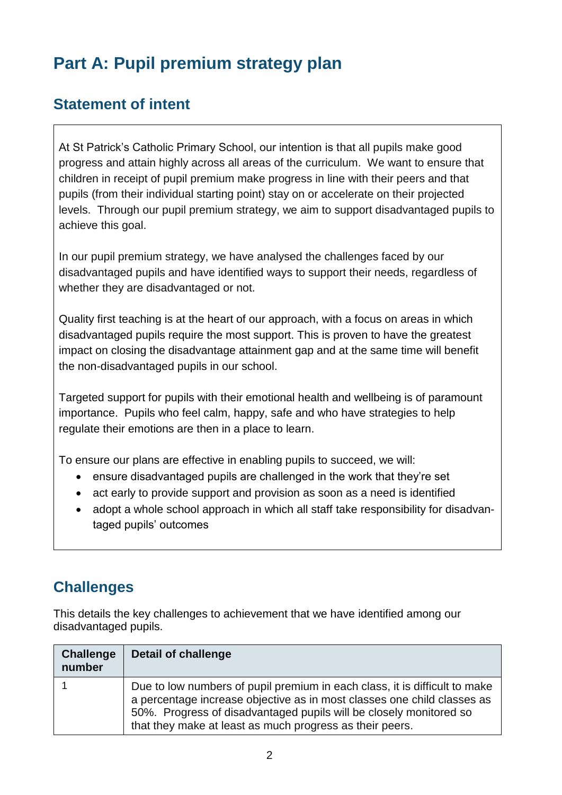# **Part A: Pupil premium strategy plan**

#### **Statement of intent**

At St Patrick's Catholic Primary School, our intention is that all pupils make good progress and attain highly across all areas of the curriculum. We want to ensure that children in receipt of pupil premium make progress in line with their peers and that pupils (from their individual starting point) stay on or accelerate on their projected levels. Through our pupil premium strategy, we aim to support disadvantaged pupils to achieve this goal.

In our pupil premium strategy, we have analysed the challenges faced by our disadvantaged pupils and have identified ways to support their needs, regardless of whether they are disadvantaged or not.

Quality first teaching is at the heart of our approach, with a focus on areas in which disadvantaged pupils require the most support. This is proven to have the greatest impact on closing the disadvantage attainment gap and at the same time will benefit the non-disadvantaged pupils in our school.

Targeted support for pupils with their emotional health and wellbeing is of paramount importance. Pupils who feel calm, happy, safe and who have strategies to help regulate their emotions are then in a place to learn.

To ensure our plans are effective in enabling pupils to succeed, we will:

- ensure disadvantaged pupils are challenged in the work that they're set
- act early to provide support and provision as soon as a need is identified
- adopt a whole school approach in which all staff take responsibility for disadvantaged pupils' outcomes

#### **Challenges**

This details the key challenges to achievement that we have identified among our disadvantaged pupils.

| <b>Challenge</b><br>number | <b>Detail of challenge</b>                                                                                                                                                                                                                                                              |
|----------------------------|-----------------------------------------------------------------------------------------------------------------------------------------------------------------------------------------------------------------------------------------------------------------------------------------|
|                            | Due to low numbers of pupil premium in each class, it is difficult to make<br>a percentage increase objective as in most classes one child classes as<br>50%. Progress of disadvantaged pupils will be closely monitored so<br>that they make at least as much progress as their peers. |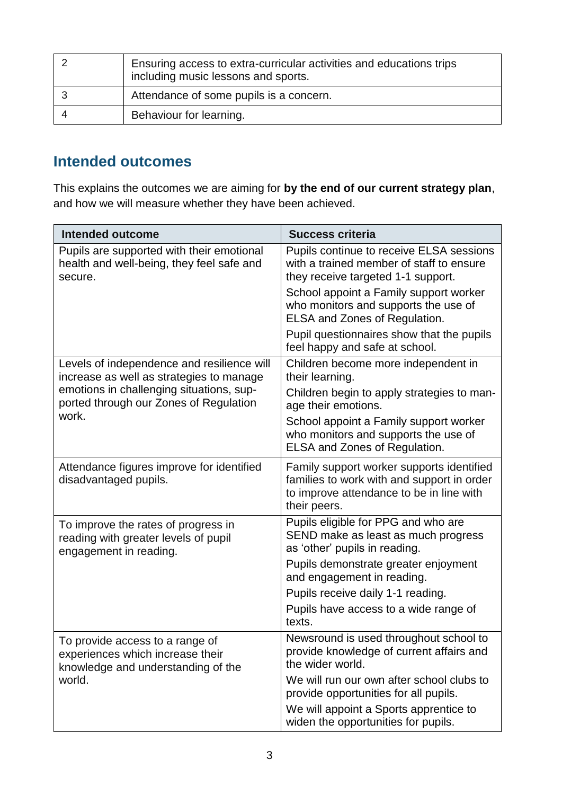| Ensuring access to extra-curricular activities and educations trips<br>including music lessons and sports. |
|------------------------------------------------------------------------------------------------------------|
| Attendance of some pupils is a concern.                                                                    |
| Behaviour for learning.                                                                                    |

#### **Intended outcomes**

This explains the outcomes we are aiming for **by the end of our current strategy plan**, and how we will measure whether they have been achieved.

| Intended outcome                                                                                          | <b>Success criteria</b>                                                                                                                             |
|-----------------------------------------------------------------------------------------------------------|-----------------------------------------------------------------------------------------------------------------------------------------------------|
| Pupils are supported with their emotional<br>health and well-being, they feel safe and<br>secure.         | Pupils continue to receive ELSA sessions<br>with a trained member of staff to ensure<br>they receive targeted 1-1 support.                          |
|                                                                                                           | School appoint a Family support worker<br>who monitors and supports the use of<br>ELSA and Zones of Regulation.                                     |
|                                                                                                           | Pupil questionnaires show that the pupils<br>feel happy and safe at school.                                                                         |
| Levels of independence and resilience will<br>increase as well as strategies to manage                    | Children become more independent in<br>their learning.                                                                                              |
| emotions in challenging situations, sup-<br>ported through our Zones of Regulation                        | Children begin to apply strategies to man-<br>age their emotions.                                                                                   |
| work.                                                                                                     | School appoint a Family support worker<br>who monitors and supports the use of<br>ELSA and Zones of Regulation.                                     |
| Attendance figures improve for identified<br>disadvantaged pupils.                                        | Family support worker supports identified<br>families to work with and support in order<br>to improve attendance to be in line with<br>their peers. |
| To improve the rates of progress in<br>reading with greater levels of pupil<br>engagement in reading.     | Pupils eligible for PPG and who are<br>SEND make as least as much progress<br>as 'other' pupils in reading.                                         |
|                                                                                                           | Pupils demonstrate greater enjoyment<br>and engagement in reading.                                                                                  |
|                                                                                                           | Pupils receive daily 1-1 reading.                                                                                                                   |
|                                                                                                           | Pupils have access to a wide range of<br>texts.                                                                                                     |
| To provide access to a range of<br>experiences which increase their<br>knowledge and understanding of the | Newsround is used throughout school to<br>provide knowledge of current affairs and<br>the wider world.                                              |
| world.                                                                                                    | We will run our own after school clubs to<br>provide opportunities for all pupils.                                                                  |
|                                                                                                           | We will appoint a Sports apprentice to<br>widen the opportunities for pupils.                                                                       |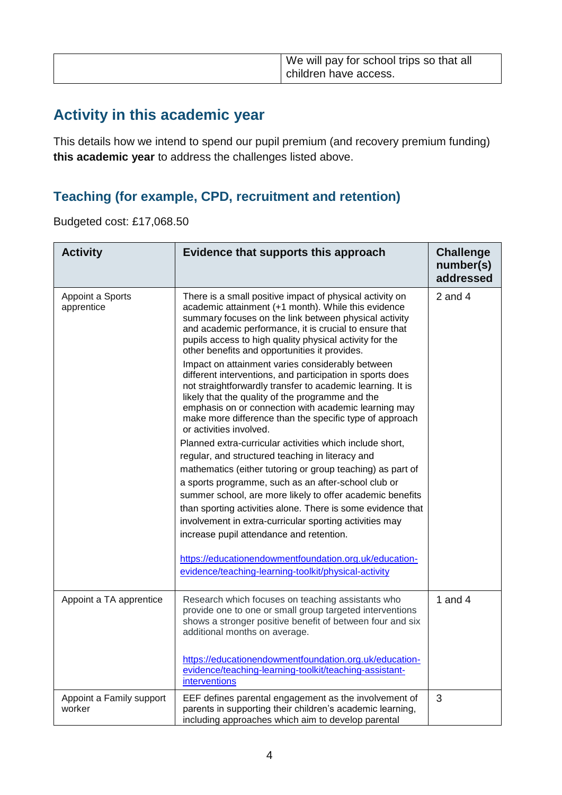| We will pay for school trips so that all<br>children have access. |
|-------------------------------------------------------------------|
|-------------------------------------------------------------------|

### **Activity in this academic year**

This details how we intend to spend our pupil premium (and recovery premium funding) **this academic year** to address the challenges listed above.

#### **Teaching (for example, CPD, recruitment and retention)**

Budgeted cost: £17,068.50

| <b>Activity</b>                    | Evidence that supports this approach                                                                                                                                                                                                                                                                                                                                                                                                                                                                                                                                                                                                                                                                                                                                                                                                                                                                                                                                                                                                                                                                                                                                                                    | <b>Challenge</b><br>number(s)<br>addressed |
|------------------------------------|---------------------------------------------------------------------------------------------------------------------------------------------------------------------------------------------------------------------------------------------------------------------------------------------------------------------------------------------------------------------------------------------------------------------------------------------------------------------------------------------------------------------------------------------------------------------------------------------------------------------------------------------------------------------------------------------------------------------------------------------------------------------------------------------------------------------------------------------------------------------------------------------------------------------------------------------------------------------------------------------------------------------------------------------------------------------------------------------------------------------------------------------------------------------------------------------------------|--------------------------------------------|
| Appoint a Sports<br>apprentice     | There is a small positive impact of physical activity on<br>academic attainment (+1 month). While this evidence<br>summary focuses on the link between physical activity<br>and academic performance, it is crucial to ensure that<br>pupils access to high quality physical activity for the<br>other benefits and opportunities it provides.<br>Impact on attainment varies considerably between<br>different interventions, and participation in sports does<br>not straightforwardly transfer to academic learning. It is<br>likely that the quality of the programme and the<br>emphasis on or connection with academic learning may<br>make more difference than the specific type of approach<br>or activities involved.<br>Planned extra-curricular activities which include short,<br>regular, and structured teaching in literacy and<br>mathematics (either tutoring or group teaching) as part of<br>a sports programme, such as an after-school club or<br>summer school, are more likely to offer academic benefits<br>than sporting activities alone. There is some evidence that<br>involvement in extra-curricular sporting activities may<br>increase pupil attendance and retention. | 2 and $4$                                  |
|                                    | https://educationendowmentfoundation.org.uk/education-<br>evidence/teaching-learning-toolkit/physical-activity                                                                                                                                                                                                                                                                                                                                                                                                                                                                                                                                                                                                                                                                                                                                                                                                                                                                                                                                                                                                                                                                                          |                                            |
| Appoint a TA apprentice            | Research which focuses on teaching assistants who<br>provide one to one or small group targeted interventions<br>shows a stronger positive benefit of between four and six<br>additional months on average.<br>https://educationendowmentfoundation.org.uk/education-<br>evidence/teaching-learning-toolkit/teaching-assistant-<br>interventions                                                                                                                                                                                                                                                                                                                                                                                                                                                                                                                                                                                                                                                                                                                                                                                                                                                        | 1 and $4$                                  |
| Appoint a Family support<br>worker | EEF defines parental engagement as the involvement of<br>parents in supporting their children's academic learning,<br>including approaches which aim to develop parental                                                                                                                                                                                                                                                                                                                                                                                                                                                                                                                                                                                                                                                                                                                                                                                                                                                                                                                                                                                                                                | $\mathfrak{S}$                             |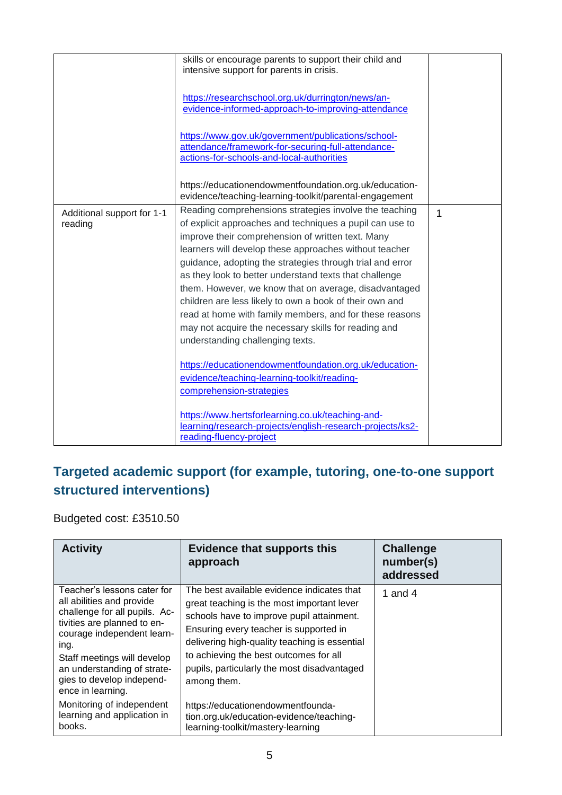|                                       | skills or encourage parents to support their child and<br>intensive support for parents in crisis.<br>https://researchschool.org.uk/durrington/news/an-<br>evidence-informed-approach-to-improving-attendance<br>https://www.gov.uk/government/publications/school-<br>attendance/framework-for-securing-full-attendance-<br>actions-for-schools-and-local-authorities                                                                                                                                                                                                                                                              |   |
|---------------------------------------|-------------------------------------------------------------------------------------------------------------------------------------------------------------------------------------------------------------------------------------------------------------------------------------------------------------------------------------------------------------------------------------------------------------------------------------------------------------------------------------------------------------------------------------------------------------------------------------------------------------------------------------|---|
|                                       | https://educationendowmentfoundation.org.uk/education-<br>evidence/teaching-learning-toolkit/parental-engagement                                                                                                                                                                                                                                                                                                                                                                                                                                                                                                                    |   |
| Additional support for 1-1<br>reading | Reading comprehensions strategies involve the teaching<br>of explicit approaches and techniques a pupil can use to<br>improve their comprehension of written text. Many<br>learners will develop these approaches without teacher<br>guidance, adopting the strategies through trial and error<br>as they look to better understand texts that challenge<br>them. However, we know that on average, disadvantaged<br>children are less likely to own a book of their own and<br>read at home with family members, and for these reasons<br>may not acquire the necessary skills for reading and<br>understanding challenging texts. | 1 |
|                                       | https://educationendowmentfoundation.org.uk/education-<br>evidence/teaching-learning-toolkit/reading-<br>comprehension-strategies<br>https://www.hertsforlearning.co.uk/teaching-and-<br>learning/research-projects/english-research-projects/ks2-<br>reading-fluency-project                                                                                                                                                                                                                                                                                                                                                       |   |

#### **Targeted academic support (for example, tutoring, one-to-one support structured interventions)**

Budgeted cost: £3510.50

| <b>Activity</b>                                                                                                                                                                                                                                                                | <b>Evidence that supports this</b><br>approach                                                                                                                                                                                                                                                                                           | <b>Challenge</b><br>number(s)<br>addressed |
|--------------------------------------------------------------------------------------------------------------------------------------------------------------------------------------------------------------------------------------------------------------------------------|------------------------------------------------------------------------------------------------------------------------------------------------------------------------------------------------------------------------------------------------------------------------------------------------------------------------------------------|--------------------------------------------|
| Teacher's lessons cater for<br>all abilities and provide<br>challenge for all pupils. Ac-<br>tivities are planned to en-<br>courage independent learn-<br>ing.<br>Staff meetings will develop<br>an understanding of strate-<br>gies to develop independ-<br>ence in learning. | The best available evidence indicates that<br>great teaching is the most important lever<br>schools have to improve pupil attainment.<br>Ensuring every teacher is supported in<br>delivering high-quality teaching is essential<br>to achieving the best outcomes for all<br>pupils, particularly the most disadvantaged<br>among them. | 1 and 4                                    |
| Monitoring of independent<br>learning and application in<br>books.                                                                                                                                                                                                             | https://educationendowmentfounda-<br>tion.org.uk/education-evidence/teaching-<br>learning-toolkit/mastery-learning                                                                                                                                                                                                                       |                                            |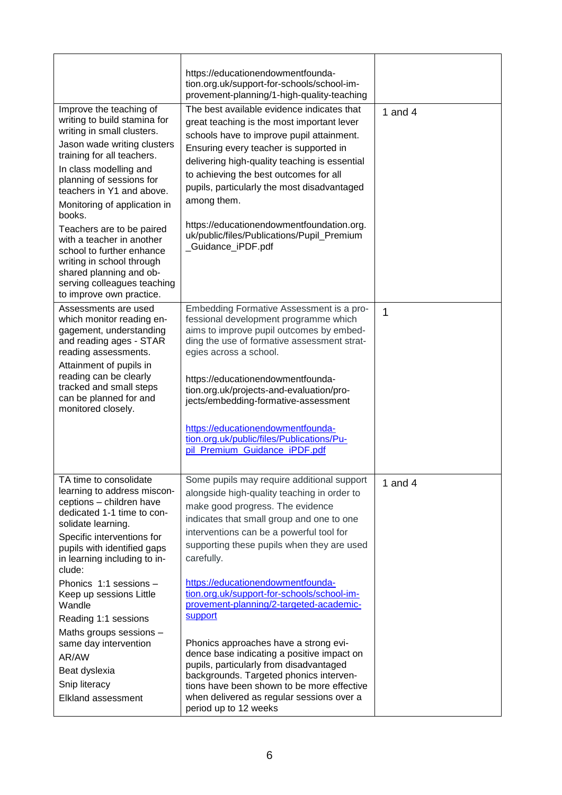|                                                                                                                                                                                                                                                                                                                                                                                                                                                                                           | https://educationendowmentfounda-<br>tion.org.uk/support-for-schools/school-im-                                                                                                                                                                                                                                                                                                                                                                                                                                                                                                                                                                                                                                              |           |
|-------------------------------------------------------------------------------------------------------------------------------------------------------------------------------------------------------------------------------------------------------------------------------------------------------------------------------------------------------------------------------------------------------------------------------------------------------------------------------------------|------------------------------------------------------------------------------------------------------------------------------------------------------------------------------------------------------------------------------------------------------------------------------------------------------------------------------------------------------------------------------------------------------------------------------------------------------------------------------------------------------------------------------------------------------------------------------------------------------------------------------------------------------------------------------------------------------------------------------|-----------|
|                                                                                                                                                                                                                                                                                                                                                                                                                                                                                           | provement-planning/1-high-quality-teaching                                                                                                                                                                                                                                                                                                                                                                                                                                                                                                                                                                                                                                                                                   |           |
| Improve the teaching of<br>writing to build stamina for<br>writing in small clusters.<br>Jason wade writing clusters<br>training for all teachers.<br>In class modelling and<br>planning of sessions for<br>teachers in Y1 and above.<br>Monitoring of application in<br>books.<br>Teachers are to be paired<br>with a teacher in another<br>school to further enhance<br>writing in school through<br>shared planning and ob-<br>serving colleagues teaching<br>to improve own practice. | The best available evidence indicates that<br>great teaching is the most important lever<br>schools have to improve pupil attainment.<br>Ensuring every teacher is supported in<br>delivering high-quality teaching is essential<br>to achieving the best outcomes for all<br>pupils, particularly the most disadvantaged<br>among them.<br>https://educationendowmentfoundation.org.<br>uk/public/files/Publications/Pupil_Premium<br>_Guidance_iPDF.pdf                                                                                                                                                                                                                                                                    | 1 and $4$ |
| Assessments are used<br>which monitor reading en-<br>gagement, understanding<br>and reading ages - STAR<br>reading assessments.<br>Attainment of pupils in<br>reading can be clearly<br>tracked and small steps<br>can be planned for and<br>monitored closely.                                                                                                                                                                                                                           | Embedding Formative Assessment is a pro-<br>fessional development programme which<br>aims to improve pupil outcomes by embed-<br>ding the use of formative assessment strat-<br>egies across a school.<br>https://educationendowmentfounda-<br>tion.org.uk/projects-and-evaluation/pro-<br>jects/embedding-formative-assessment<br>https://educationendowmentfounda-<br>tion.org.uk/public/files/Publications/Pu-<br>pil_Premium_Guidance_iPDF.pdf                                                                                                                                                                                                                                                                           | 1         |
| TA time to consolidate<br>learning to address miscon-<br>ceptions - children have<br>dedicated 1-1 time to con-<br>solidate learning.<br>Specific interventions for<br>pupils with identified gaps<br>in learning including to in-<br>clude:<br>Phonics 1:1 sessions -<br>Keep up sessions Little<br>Wandle<br>Reading 1:1 sessions<br>Maths groups sessions -<br>same day intervention<br>AR/AW<br>Beat dyslexia<br>Snip literacy<br>Elkland assessment                                  | Some pupils may require additional support<br>alongside high-quality teaching in order to<br>make good progress. The evidence<br>indicates that small group and one to one<br>interventions can be a powerful tool for<br>supporting these pupils when they are used<br>carefully.<br>https://educationendowmentfounda-<br>tion.org.uk/support-for-schools/school-im-<br>provement-planning/2-targeted-academic-<br>support<br>Phonics approaches have a strong evi-<br>dence base indicating a positive impact on<br>pupils, particularly from disadvantaged<br>backgrounds. Targeted phonics interven-<br>tions have been shown to be more effective<br>when delivered as regular sessions over a<br>period up to 12 weeks | 1 and $4$ |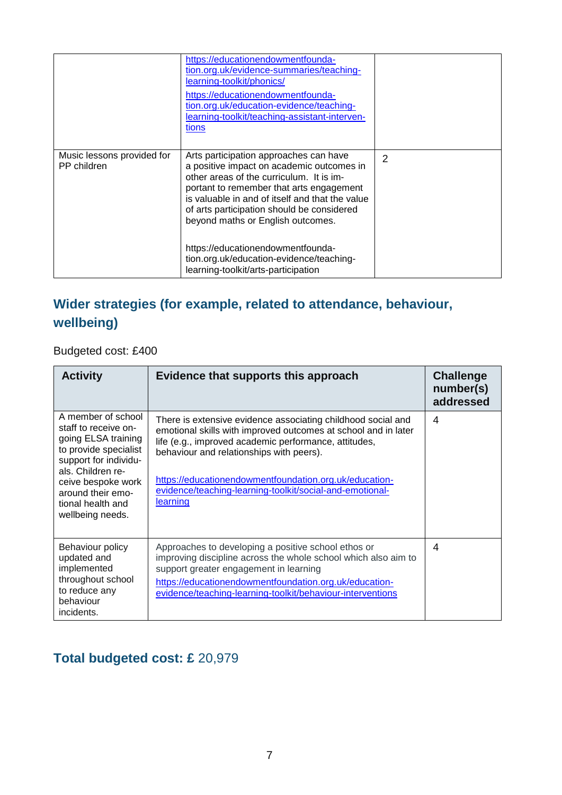|                                           | https://educationendowmentfounda-<br>tion.org.uk/evidence-summaries/teaching-<br>learning-toolkit/phonics/<br>https://educationendowmentfounda-<br>tion.org.uk/education-evidence/teaching-<br>learning-toolkit/teaching-assistant-interven-<br>tions                                                             |   |
|-------------------------------------------|-------------------------------------------------------------------------------------------------------------------------------------------------------------------------------------------------------------------------------------------------------------------------------------------------------------------|---|
| Music lessons provided for<br>PP children | Arts participation approaches can have<br>a positive impact on academic outcomes in<br>other areas of the curriculum. It is im-<br>portant to remember that arts engagement<br>is valuable in and of itself and that the value<br>of arts participation should be considered<br>beyond maths or English outcomes. | 2 |
|                                           | https://educationendowmentfounda-<br>tion.org.uk/education-evidence/teaching-<br>learning-toolkit/arts-participation                                                                                                                                                                                              |   |

#### **Wider strategies (for example, related to attendance, behaviour, wellbeing)**

Budgeted cost: £400

| <b>Activity</b>                                                                                                                                                                                                              | Evidence that supports this approach                                                                                                                                                                                                                                                                                                                                  | <b>Challenge</b><br>number(s)<br>addressed |
|------------------------------------------------------------------------------------------------------------------------------------------------------------------------------------------------------------------------------|-----------------------------------------------------------------------------------------------------------------------------------------------------------------------------------------------------------------------------------------------------------------------------------------------------------------------------------------------------------------------|--------------------------------------------|
| A member of school<br>staff to receive on-<br>going ELSA training<br>to provide specialist<br>support for individu-<br>als. Children re-<br>ceive bespoke work<br>around their emo-<br>tional health and<br>wellbeing needs. | There is extensive evidence associating childhood social and<br>emotional skills with improved outcomes at school and in later<br>life (e.g., improved academic performance, attitudes,<br>behaviour and relationships with peers).<br>https://educationendowmentfoundation.org.uk/education-<br>evidence/teaching-learning-toolkit/social-and-emotional-<br>learning | 4                                          |
| Behaviour policy<br>updated and<br>implemented<br>throughout school<br>to reduce any<br>behaviour<br>incidents.                                                                                                              | Approaches to developing a positive school ethos or<br>improving discipline across the whole school which also aim to<br>support greater engagement in learning<br>https://educationendowmentfoundation.org.uk/education-<br>evidence/teaching-learning-toolkit/behaviour-interventions                                                                               | 4                                          |

#### **Total budgeted cost: £** 20,979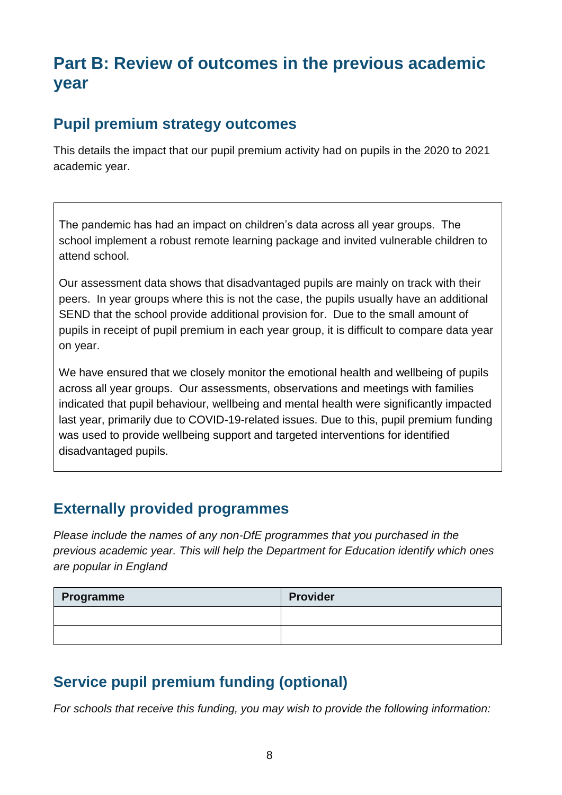## **Part B: Review of outcomes in the previous academic year**

#### **Pupil premium strategy outcomes**

This details the impact that our pupil premium activity had on pupils in the 2020 to 2021 academic year.

The pandemic has had an impact on children's data across all year groups. The school implement a robust remote learning package and invited vulnerable children to attend school.

Our assessment data shows that disadvantaged pupils are mainly on track with their peers. In year groups where this is not the case, the pupils usually have an additional SEND that the school provide additional provision for. Due to the small amount of pupils in receipt of pupil premium in each year group, it is difficult to compare data year on year.

We have ensured that we closely monitor the emotional health and wellbeing of pupils across all year groups. Our assessments, observations and meetings with families indicated that pupil behaviour, wellbeing and mental health were significantly impacted last year, primarily due to COVID-19-related issues. Due to this, pupil premium funding was used to provide wellbeing support and targeted interventions for identified disadvantaged pupils.

#### **Externally provided programmes**

*Please include the names of any non-DfE programmes that you purchased in the previous academic year. This will help the Department for Education identify which ones are popular in England*

| Programme | <b>Provider</b> |
|-----------|-----------------|
|           |                 |
|           |                 |

### **Service pupil premium funding (optional)**

*For schools that receive this funding, you may wish to provide the following information:*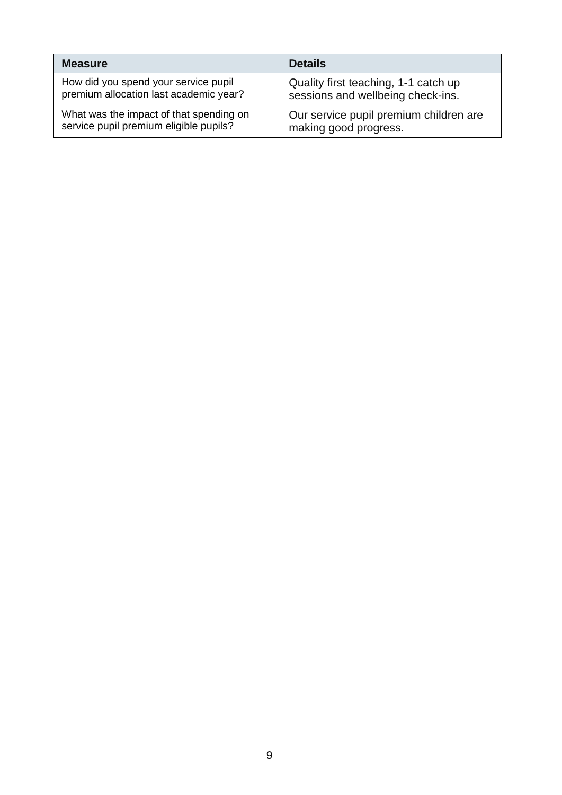| <b>Measure</b>                          | <b>Details</b>                         |
|-----------------------------------------|----------------------------------------|
| How did you spend your service pupil    | Quality first teaching, 1-1 catch up   |
| premium allocation last academic year?  | sessions and wellbeing check-ins.      |
| What was the impact of that spending on | Our service pupil premium children are |
| service pupil premium eligible pupils?  | making good progress.                  |